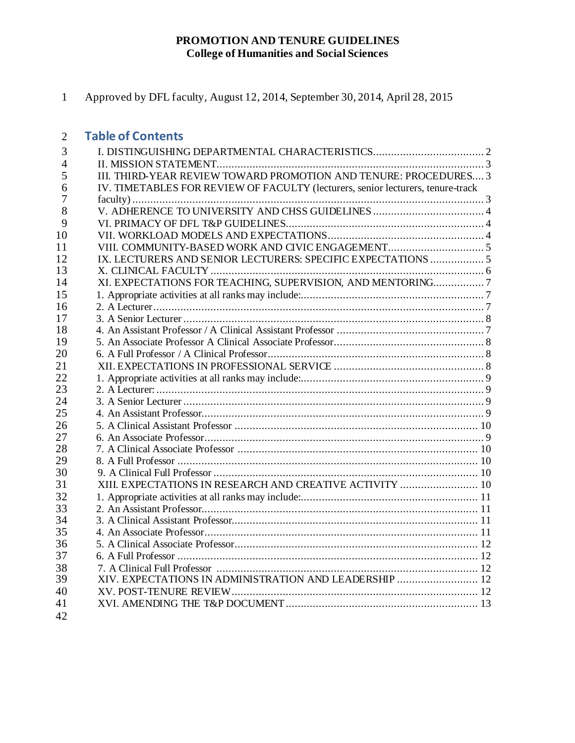#### **PROMOTION AND TENURE GUIDELINES College of Humanities and Social Sciences**

Approved by DFL faculty, August 12, 2014, September 30, 2014, April 28, 2015

#### **Table of Contents**

| 3              |                                                                                 |  |
|----------------|---------------------------------------------------------------------------------|--|
| $\overline{4}$ |                                                                                 |  |
| 5              | III. THIRD-YEAR REVIEW TOWARD PROMOTION AND TENURE: PROCEDURES 3                |  |
| 6              | IV. TIMETABLES FOR REVIEW OF FACULTY (lecturers, senior lecturers, tenure-track |  |
| 7              |                                                                                 |  |
| 8              |                                                                                 |  |
| 9              |                                                                                 |  |
| 10             |                                                                                 |  |
| 11             |                                                                                 |  |
| 12             | IX. LECTURERS AND SENIOR LECTURERS: SPECIFIC EXPECTATIONS  5                    |  |
| 13             |                                                                                 |  |
| 14             | XI. EXPECTATIONS FOR TEACHING, SUPERVISION, AND MENTORING7                      |  |
| 15             |                                                                                 |  |
| 16             |                                                                                 |  |
| 17             |                                                                                 |  |
| 18             |                                                                                 |  |
| 19             |                                                                                 |  |
| 20             |                                                                                 |  |
| 21             |                                                                                 |  |
| 22             |                                                                                 |  |
| 23             |                                                                                 |  |
| 24             |                                                                                 |  |
| 25             |                                                                                 |  |
| 26             |                                                                                 |  |
| 27             |                                                                                 |  |
| 28             |                                                                                 |  |
| 29             |                                                                                 |  |
| 30             |                                                                                 |  |
| 31             | XIII. EXPECTATIONS IN RESEARCH AND CREATIVE ACTIVITY  10                        |  |
| 32             |                                                                                 |  |
| 33             |                                                                                 |  |
| 34             |                                                                                 |  |
| 35             |                                                                                 |  |
| 36             |                                                                                 |  |
| 37             |                                                                                 |  |
| 38             |                                                                                 |  |
| 39             | XIV. EXPECTATIONS IN ADMINISTRATION AND LEADERSHIP  12                          |  |
| 40             |                                                                                 |  |
| 41             |                                                                                 |  |
| 42             |                                                                                 |  |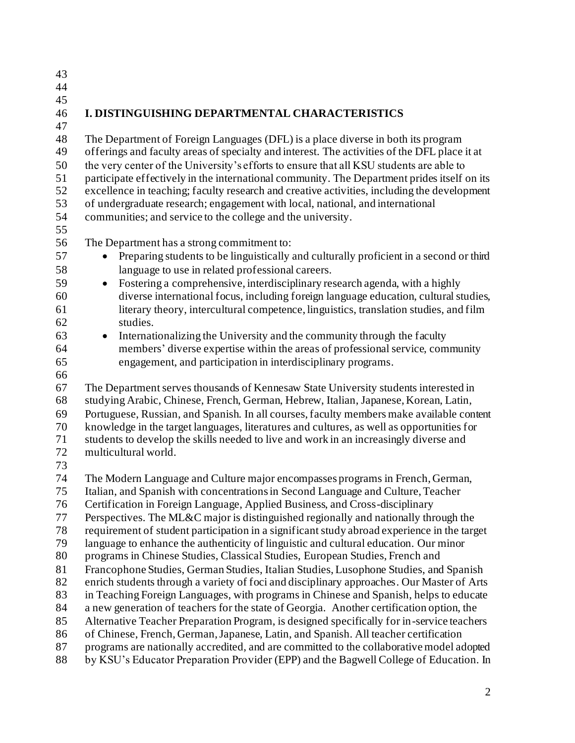**I. DISTINGUISHING DEPARTMENTAL CHARACTERISTICS** The Department of Foreign Languages (DFL) is a place diverse in both its program offerings and faculty areas of specialty and interest. The activities of the DFL place it at the very center of the University's efforts to ensure that all KSU students are able to participate effectively in the international community. The Department prides itself on its excellence in teaching; faculty research and creative activities, including the development of undergraduate research; engagement with local, national, and international communities; and service to the college and the university. The Department has a strong commitment to: 57 • Preparing students to be linguistically and culturally proficient in a second or third language to use in related professional careers. • Fostering a comprehensive, interdisciplinary research agenda, with a highly diverse international focus, including foreign language education, cultural studies, literary theory, intercultural competence, linguistics, translation studies, and film studies. • Internationalizing the University and the community through the faculty members' diverse expertise within the areas of professional service, community engagement, and participation in interdisciplinary programs. The Department serves thousands of Kennesaw State University students interested in studying Arabic, Chinese, French, German, Hebrew, Italian, Japanese, Korean, Latin, Portuguese, Russian, and Spanish. In all courses, faculty members make available content knowledge in the target languages, literatures and cultures, as well as opportunities for students to develop the skills needed to live and work in an increasingly diverse and multicultural world. The Modern Language and Culture major encompasses programs in French, German, Italian, and Spanish with concentrations in Second Language and Culture, Teacher Certification in Foreign Language, Applied Business, and Cross-disciplinary 77 Perspectives. The ML&C major is distinguished regionally and nationally through the requirement of student participation in a significant study abroad experience in the target language to enhance the authenticity of linguistic and cultural education. Our minor programs in Chinese Studies, Classical Studies, European Studies, French and Francophone Studies, German Studies, Italian Studies, Lusophone Studies, and Spanish enrich students through a variety of foci and disciplinary approaches. Our Master of Arts in Teaching Foreign Languages, with programs in Chinese and Spanish, helps to educate a new generation of teachers for the state of Georgia. Another certification option, the Alternative Teacher Preparation Program, is designed specifically for in-service teachers of Chinese, French, German, Japanese, Latin, and Spanish. All teacher certification programs are nationally accredited, and are committed to the collaborative model adopted by KSU's Educator Preparation Provider (EPP) and the Bagwell College of Education. In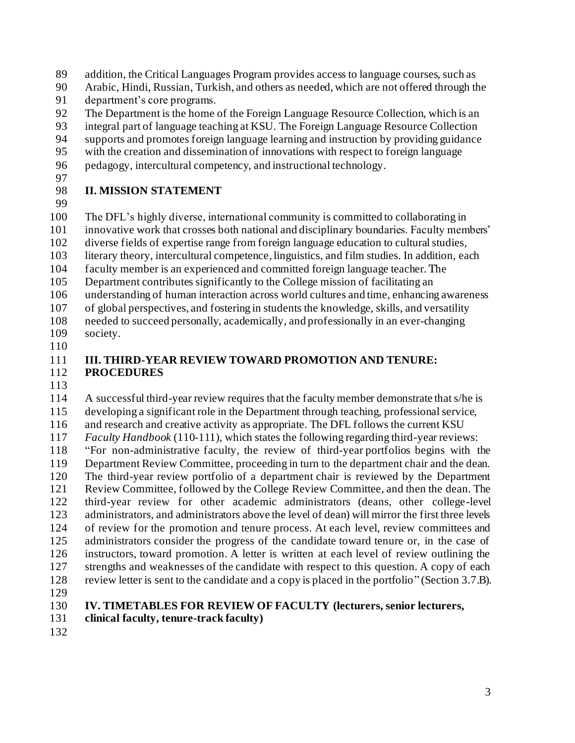addition, the Critical Languages Program provides access to language courses, such as

- Arabic, Hindi, Russian, Turkish, and others as needed, which are not offered through the department's core programs.
- The Department is the home of the Foreign Language Resource Collection, which is an
- integral part of language teaching at KSU. The Foreign Language Resource Collection
- supports and promotes foreign language learning and instruction by providing guidance
- with the creation and dissemination of innovations with respect to foreign language
- pedagogy, intercultural competency, and instructional technology.
- 

#### **II. MISSION STATEMENT**

 The DFL's highly diverse, international community is committed to collaborating in innovative work that crosses both national and disciplinary boundaries. Faculty members' diverse fields of expertise range from foreign language education to cultural studies,

- literary theory, intercultural competence, linguistics, and film studies. In addition, each
- faculty member is an experienced and committed foreign language teacher. The
- Department contributes significantly to the College mission of facilitating an
- understanding of human interaction across world cultures and time, enhancing awareness
- of global perspectives, and fostering in students the knowledge, skills, and versatility
- needed to succeed personally, academically, and professionally in an ever-changing society.
- 

#### **III. THIRD-YEAR REVIEW TOWARD PROMOTION AND TENURE: PROCEDURES**

 A successful third-year review requires that the faculty member demonstrate that s/he is developing a significant role in the Department through teaching, professional service, and research and creative activity as appropriate. The DFL follows the current KSU *Faculty Handbook* (110-111), which states the following regarding third-year reviews: "For non-administrative faculty, the review of third-year portfolios begins with the Department Review Committee, proceeding in turn to the department chair and the dean. The third-year review portfolio of a department chair is reviewed by the Department Review Committee, followed by the College Review Committee, and then the dean. The third-year review for other academic administrators (deans, other college-level administrators, and administrators above the level of dean) will mirror the first three levels of review for the promotion and tenure process. At each level, review committees and administrators consider the progress of the candidate toward tenure or, in the case of instructors, toward promotion. A letter is written at each level of review outlining the strengths and weaknesses of the candidate with respect to this question. A copy of each review letter is sent to the candidate and a copy is placed in the portfolio" (Section 3.7.B).

## **IV. TIMETABLES FOR REVIEW OF FACULTY (lecturers, senior lecturers,**

- **clinical faculty, tenure-track faculty)**
-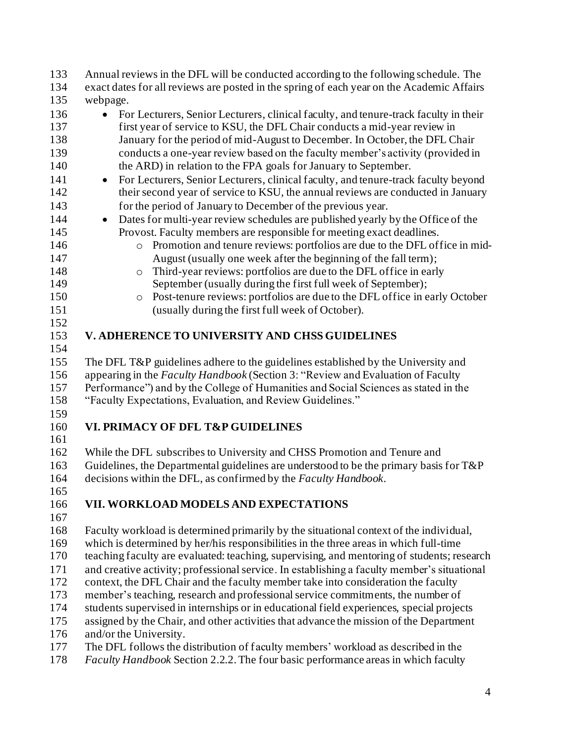Annual reviews in the DFL will be conducted according to the following schedule. The exact dates for all reviews are posted in the spring of each year on the Academic Affairs webpage. 136 • For Lecturers, Senior Lecturers, clinical faculty, and tenure-track faculty in their first year of service to KSU, the DFL Chair conducts a mid-year review in January for the period of mid-August to December. In October, the DFL Chair conducts a one-year review based on the faculty member's activity (provided in the ARD) in relation to the FPA goals for January to September. • For Lecturers, Senior Lecturers, clinical faculty, and tenure-track faculty beyond 142 their second year of service to KSU, the annual reviews are conducted in January for the period of January to December of the previous year. • Dates for multi-year review schedules are published yearly by the Office of the Provost. Faculty members are responsible for meeting exact deadlines. o Promotion and tenure reviews: portfolios are due to the DFL office in mid- August (usually one week after the beginning of the fall term); 148 Third-year reviews: portfolios are due to the DFL office in early September (usually during the first full week of September); o Post-tenure reviews: portfolios are due to the DFL office in early October (usually during the first full week of October). **V. ADHERENCE TO UNIVERSITY AND CHSS GUIDELINES** The DFL T&P guidelines adhere to the guidelines established by the University and appearing in the *Faculty Handbook* (Section 3: "Review and Evaluation of Faculty Performance") and by the College of Humanities and Social Sciences as stated in the "Faculty Expectations, Evaluation, and Review Guidelines." **VI. PRIMACY OF DFL T&P GUIDELINES**  While the DFL subscribes to University and CHSS Promotion and Tenure and Guidelines, the Departmental guidelines are understood to be the primary basis for T&P decisions within the DFL, as confirmed by the *Faculty Handbook*. **VII. WORKLOAD MODELS AND EXPECTATIONS** Faculty workload is determined primarily by the situational context of the individual, which is determined by her/his responsibilities in the three areas in which full-time teaching faculty are evaluated: teaching, supervising, and mentoring of students; research and creative activity; professional service. In establishing a faculty member's situational context, the DFL Chair and the faculty member take into consideration the faculty member's teaching, research and professional service commitments, the number of students supervised in internships or in educational field experiences, special projects assigned by the Chair, and other activities that advance the mission of the Department and/or the University. The DFL follows the distribution of faculty members' workload as described in the *Faculty Handbook* Section 2.2.2. The four basic performance areas in which faculty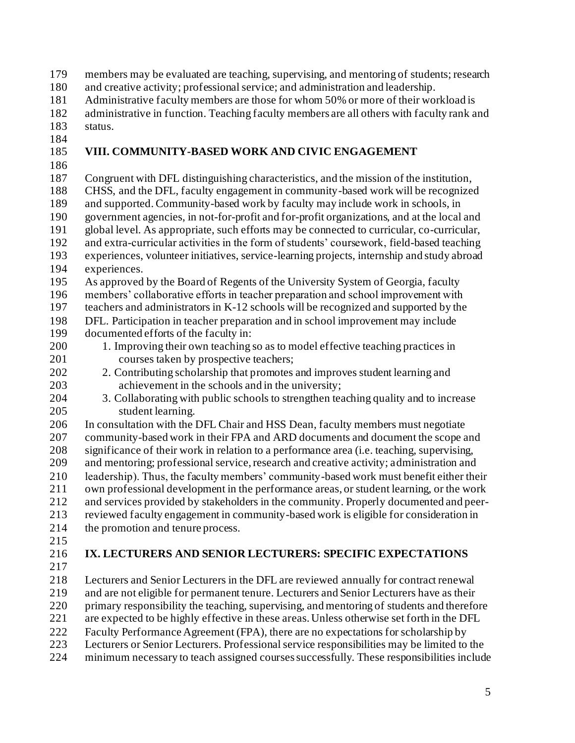members may be evaluated are teaching, supervising, and mentoring of students; research

and creative activity; professional service; and administration and leadership.

Administrative faculty members are those for whom 50% or more of their workload is

 administrative in function. Teaching faculty members are all others with faculty rank and status.

## **VIII. COMMUNITY-BASED WORK AND CIVIC ENGAGEMENT**

 Congruent with DFL distinguishing characteristics, and the mission of the institution, CHSS, and the DFL, faculty engagement in community-based work will be recognized and supported. Community-based work by faculty may include work in schools, in government agencies, in not-for-profit and for-profit organizations, and at the local and global level. As appropriate, such efforts may be connected to curricular, co-curricular, and extra-curricular activities in the form of students' coursework, field-based teaching experiences, volunteer initiatives, service-learning projects, internship and study abroad experiences. As approved by the Board of Regents of the University System of Georgia, faculty members' collaborative efforts in teacher preparation and school improvement with teachers and administrators in K-12 schools will be recognized and supported by the DFL. Participation in teacher preparation and in school improvement may include documented efforts of the faculty in: 1. Improving their own teaching so as to model effective teaching practices in courses taken by prospective teachers; 2. Contributing scholarship that promotes and improves student learning and achievement in the schools and in the university; 3. Collaborating with public schools to strengthen teaching quality and to increase student learning. In consultation with the DFL Chair and HSS Dean, faculty members must negotiate community-based work in their FPA and ARD documents and document the scope and significance of their work in relation to a performance area (i.e. teaching, supervising, and mentoring; professional service, research and creative activity; administration and leadership). Thus, the faculty members' community-based work must benefit either their own professional development in the performance areas, or student learning, or the work

 and services provided by stakeholders in the community. Properly documented and peer- reviewed faculty engagement in community-based work is eligible for consideration in 214 the promotion and tenure process.

- 
- 

# **IX. LECTURERS AND SENIOR LECTURERS: SPECIFIC EXPECTATIONS**

 Lecturers and Senior Lecturers in the DFL are reviewed annually for contract renewal and are not eligible for permanent tenure. Lecturers and Senior Lecturers have as their primary responsibility the teaching, supervising, and mentoring of students and therefore are expected to be highly effective in these areas. Unless otherwise set forth in the DFL Faculty Performance Agreement (FPA), there are no expectations for scholarship by Lecturers or Senior Lecturers. Professional service responsibilities may be limited to the

minimum necessary to teach assigned courses successfully. These responsibilities include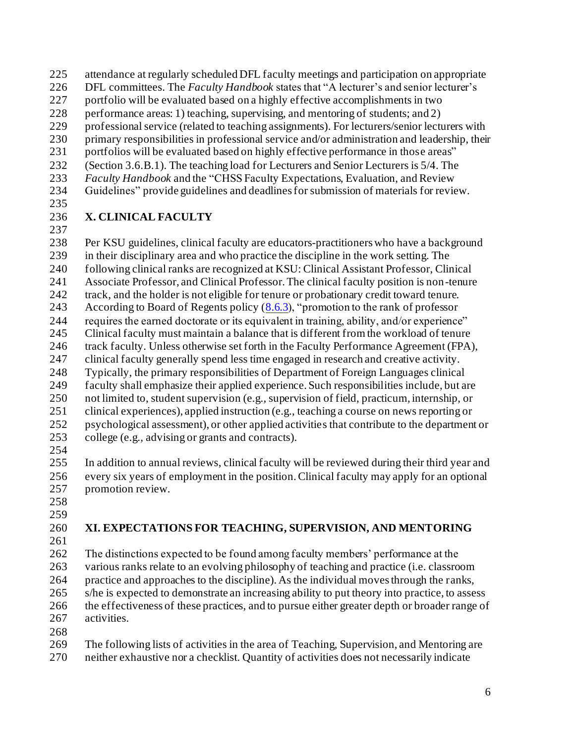- attendance at regularly scheduled DFL faculty meetings and participation on appropriate
- DFL committees. The *Faculty Handbook* states that "A lecturer's and senior lecturer's
- portfolio will be evaluated based on a highly effective accomplishments in two
- performance areas: 1) teaching, supervising, and mentoring of students; and 2)
- professional service (related to teaching assignments). For lecturers/senior lecturers with
- primary responsibilities in professional service and/or administration and leadership, their
- 231 portfolios will be evaluated based on highly effective performance in those areas"
- (Section 3.6.B.1). The teaching load for Lecturers and Senior Lecturers is 5/4. The
- *Faculty Handbook* and the "CHSS Faculty Expectations, Evaluation, and Review Guidelines" provide guidelines and deadlines for submission of materials for review.
- 

## **X. CLINICAL FACULTY**

- 
- Per KSU guidelines, clinical faculty are educators-practitioners who have a background in their disciplinary area and who practice the discipline in the work setting. The following clinical ranks are recognized at KSU: Clinical Assistant Professor, Clinical Associate Professor, and Clinical Professor. The clinical faculty position is non-tenure
- track, and the holder is not eligible for tenure or probationary credit toward tenure.
- 243 According to Board of Regents policy  $(8.6.3)$ , "promotion to the rank of professor
- requires the earned doctorate or its equivalent in training, ability, and/or experience"
- Clinical faculty must maintain a balance that is different from the workload of tenure track faculty. Unless otherwise set forth in the Faculty Performance Agreement (FPA),
- clinical faculty generally spend less time engaged in research and creative activity.
- Typically, the primary responsibilities of Department of Foreign Languages clinical
- faculty shall emphasize their applied experience. Such responsibilities include, but are
- not limited to, student supervision (e.g., supervision of field, practicum, internship, or clinical experiences), applied instruction (e.g., teaching a course on news reporting or
- psychological assessment), or other applied activities that contribute to the department or
- college (e.g., advising or grants and contracts).
- 

 In addition to annual reviews, clinical faculty will be reviewed during their third year and every six years of employment in the position. Clinical faculty may apply for an optional promotion review.

- 
- 

# **XI. EXPECTATIONS FOR TEACHING, SUPERVISION, AND MENTORING**

 The distinctions expected to be found among faculty members' performance at the various ranks relate to an evolving philosophy of teaching and practice (i.e. classroom practice and approaches to the discipline). As the individual moves through the ranks, s/he is expected to demonstrate an increasing ability to put theory into practice, to assess the effectiveness of these practices, and to pursue either greater depth or broader range of activities. 

 The following lists of activities in the area of Teaching, Supervision, and Mentoring are neither exhaustive nor a checklist. Quantity of activities does not necessarily indicate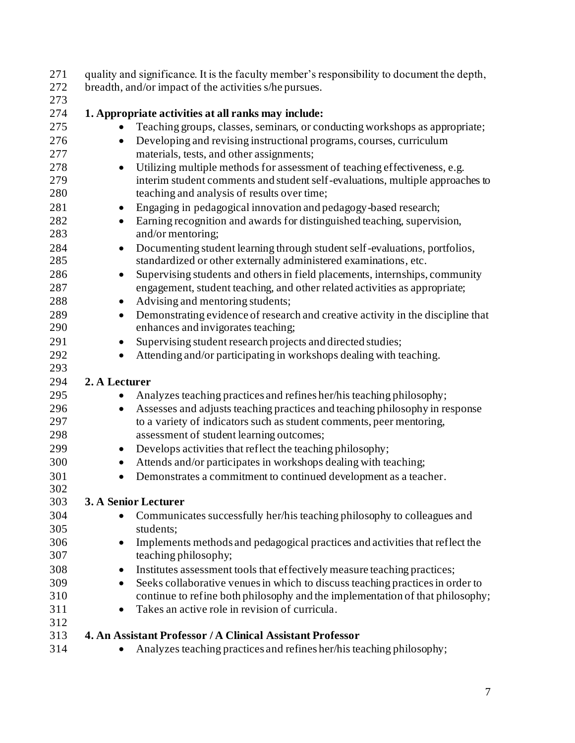| 271 | quality and significance. It is the faculty member's responsibility to document the depth,   |
|-----|----------------------------------------------------------------------------------------------|
| 272 | breadth, and/or impact of the activities s/he pursues.                                       |
| 273 |                                                                                              |
| 274 | 1. Appropriate activities at all ranks may include:                                          |
| 275 | Teaching groups, classes, seminars, or conducting workshops as appropriate;<br>$\bullet$     |
| 276 | Developing and revising instructional programs, courses, curriculum<br>$\bullet$             |
| 277 | materials, tests, and other assignments;                                                     |
| 278 | Utilizing multiple methods for assessment of teaching effectiveness, e.g.<br>$\bullet$       |
| 279 | interim student comments and student self-evaluations, multiple approaches to                |
| 280 | teaching and analysis of results over time;                                                  |
| 281 | Engaging in pedagogical innovation and pedagogy-based research;<br>$\bullet$                 |
| 282 | Earning recognition and awards for distinguished teaching, supervision,<br>$\bullet$         |
| 283 | and/or mentoring;                                                                            |
| 284 | Documenting student learning through student self-evaluations, portfolios,<br>$\bullet$      |
| 285 | standardized or other externally administered examinations, etc.                             |
| 286 | Supervising students and others in field placements, internships, community<br>$\bullet$     |
| 287 | engagement, student teaching, and other related activities as appropriate;                   |
| 288 | Advising and mentoring students;<br>$\bullet$                                                |
| 289 | Demonstrating evidence of research and creative activity in the discipline that<br>$\bullet$ |
| 290 | enhances and invigorates teaching;                                                           |
| 291 | Supervising student research projects and directed studies;<br>$\bullet$                     |
| 292 | Attending and/or participating in workshops dealing with teaching.<br>$\bullet$              |
| 293 |                                                                                              |
| 294 | 2. A Lecturer                                                                                |
| 295 | Analyzes teaching practices and refines her/his teaching philosophy;                         |
| 296 | Assesses and adjusts teaching practices and teaching philosophy in response<br>$\bullet$     |
| 297 | to a variety of indicators such as student comments, peer mentoring,                         |
| 298 | assessment of student learning outcomes;                                                     |
| 299 | Develops activities that reflect the teaching philosophy;<br>$\bullet$                       |
| 300 | Attends and/or participates in workshops dealing with teaching;<br>$\bullet$                 |
| 301 | Demonstrates a commitment to continued development as a teacher.<br>$\bullet$                |
| 302 |                                                                                              |
| 303 | 3. A Senior Lecturer                                                                         |
| 304 | Communicates successfully her/his teaching philosophy to colleagues and<br>$\bullet$         |
| 305 | students;                                                                                    |
| 306 | Implements methods and pedagogical practices and activities that reflect the<br>$\bullet$    |
| 307 | teaching philosophy;                                                                         |
| 308 | Institutes assessment tools that effectively measure teaching practices;<br>٠                |
| 309 | Seeks collaborative venues in which to discuss teaching practices in order to<br>$\bullet$   |
| 310 | continue to refine both philosophy and the implementation of that philosophy;                |
| 311 | Takes an active role in revision of curricula.<br>$\bullet$                                  |
| 312 |                                                                                              |
| 313 | 4. An Assistant Professor / A Clinical Assistant Professor                                   |
| 314 | Analyzes teaching practices and refines her/his teaching philosophy;<br>$\bullet$            |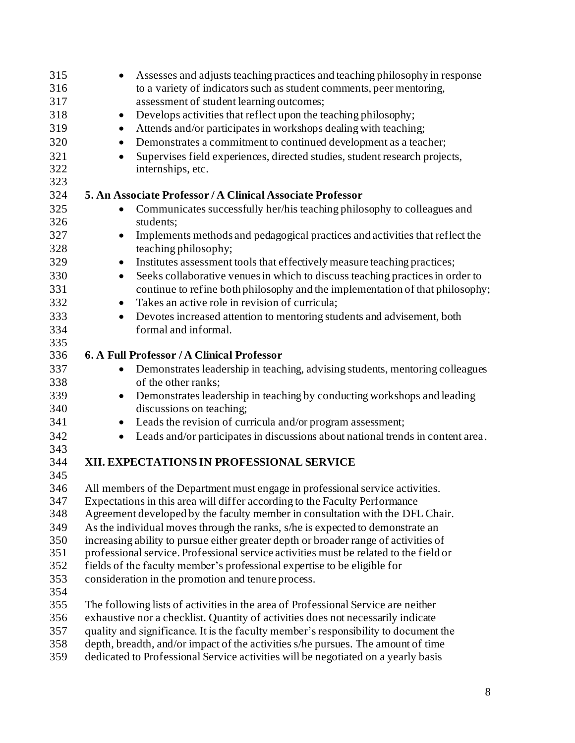| 315        | Assesses and adjusts teaching practices and teaching philosophy in response<br>$\bullet$                                                                          |
|------------|-------------------------------------------------------------------------------------------------------------------------------------------------------------------|
| 316        | to a variety of indicators such as student comments, peer mentoring,                                                                                              |
| 317        | assessment of student learning outcomes;                                                                                                                          |
| 318        | Develops activities that reflect upon the teaching philosophy;<br>$\bullet$                                                                                       |
| 319        | Attends and/or participates in workshops dealing with teaching;<br>$\bullet$                                                                                      |
| 320        | Demonstrates a commitment to continued development as a teacher;<br>$\bullet$                                                                                     |
| 321        | Supervises field experiences, directed studies, student research projects,<br>$\bullet$                                                                           |
| 322        | internships, etc.                                                                                                                                                 |
| 323        |                                                                                                                                                                   |
| 324        | 5. An Associate Professor / A Clinical Associate Professor                                                                                                        |
| 325        | Communicates successfully her/his teaching philosophy to colleagues and<br>٠                                                                                      |
| 326        | students;                                                                                                                                                         |
| 327        | Implements methods and pedagogical practices and activities that reflect the<br>$\bullet$                                                                         |
| 328        | teaching philosophy;                                                                                                                                              |
| 329        | Institutes assessment tools that effectively measure teaching practices;<br>$\bullet$                                                                             |
| 330        | Seeks collaborative venues in which to discuss teaching practices in order to<br>$\bullet$                                                                        |
| 331        | continue to refine both philosophy and the implementation of that philosophy;                                                                                     |
| 332        | Takes an active role in revision of curricula;<br>$\bullet$                                                                                                       |
| 333        | Devotes increased attention to mentoring students and advisement, both<br>$\bullet$                                                                               |
| 334        | formal and informal.                                                                                                                                              |
| 335        |                                                                                                                                                                   |
| 336        | 6. A Full Professor / A Clinical Professor                                                                                                                        |
| 337        | Demonstrates leadership in teaching, advising students, mentoring colleagues<br>$\bullet$                                                                         |
| 338        | of the other ranks;                                                                                                                                               |
| 339        | Demonstrates leadership in teaching by conducting workshops and leading<br>$\bullet$                                                                              |
| 340        | discussions on teaching;                                                                                                                                          |
| 341        | Leads the revision of curricula and/or program assessment;<br>$\bullet$                                                                                           |
| 342        |                                                                                                                                                                   |
| 343        | Leads and/or participates in discussions about national trends in content area.<br>$\bullet$                                                                      |
| 344        | XII. EXPECTATIONS IN PROFESSIONAL SERVICE                                                                                                                         |
| 345        |                                                                                                                                                                   |
| 346        | All members of the Department must engage in professional service activities.                                                                                     |
| 347        | Expectations in this area will differ according to the Faculty Performance                                                                                        |
| 348        | Agreement developed by the faculty member in consultation with the DFL Chair.                                                                                     |
| 349        |                                                                                                                                                                   |
| 350        | As the individual moves through the ranks, s/he is expected to demonstrate an                                                                                     |
| 351        | increasing ability to pursue either greater depth or broader range of activities of                                                                               |
| 352        | professional service. Professional service activities must be related to the field or<br>fields of the faculty member's professional expertise to be eligible for |
| 353        | consideration in the promotion and tenure process.                                                                                                                |
|            |                                                                                                                                                                   |
| 354        |                                                                                                                                                                   |
| 355<br>356 | The following lists of activities in the area of Professional Service are neither                                                                                 |
|            | exhaustive nor a checklist. Quantity of activities does not necessarily indicate                                                                                  |
| 357        | quality and significance. It is the faculty member's responsibility to document the                                                                               |
| 358        | depth, breadth, and/or impact of the activities s/he pursues. The amount of time                                                                                  |
| 359        | dedicated to Professional Service activities will be negotiated on a yearly basis                                                                                 |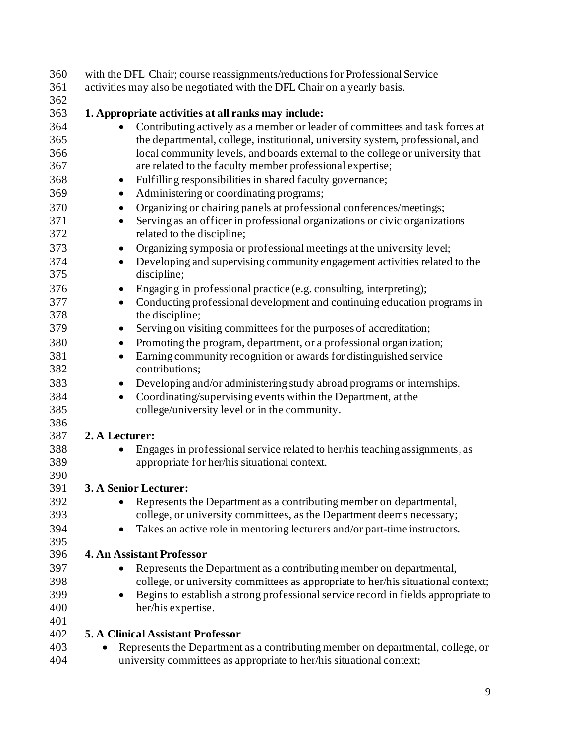| 360 | with the DFL Chair; course reassignments/reductions for Professional Service                   |
|-----|------------------------------------------------------------------------------------------------|
| 361 | activities may also be negotiated with the DFL Chair on a yearly basis.                        |
| 362 |                                                                                                |
| 363 | 1. Appropriate activities at all ranks may include:                                            |
| 364 | Contributing actively as a member or leader of committees and task forces at                   |
| 365 | the departmental, college, institutional, university system, professional, and                 |
| 366 | local community levels, and boards external to the college or university that                  |
| 367 | are related to the faculty member professional expertise;                                      |
| 368 | Fulfilling responsibilities in shared faculty governance;<br>$\bullet$                         |
| 369 | Administering or coordinating programs;<br>$\bullet$                                           |
| 370 | Organizing or chairing panels at professional conferences/meetings;<br>$\bullet$               |
| 371 | Serving as an officer in professional organizations or civic organizations<br>$\bullet$        |
| 372 | related to the discipline;                                                                     |
| 373 | Organizing symposia or professional meetings at the university level;<br>$\bullet$             |
| 374 | Developing and supervising community engagement activities related to the<br>$\bullet$         |
| 375 | discipline;                                                                                    |
| 376 | Engaging in professional practice (e.g. consulting, interpreting);<br>$\bullet$                |
| 377 | Conducting professional development and continuing education programs in<br>$\bullet$          |
| 378 | the discipline;                                                                                |
| 379 | Serving on visiting committees for the purposes of accreditation;<br>$\bullet$                 |
| 380 | Promoting the program, department, or a professional organization;<br>$\bullet$                |
| 381 | Earning community recognition or awards for distinguished service<br>$\bullet$                 |
| 382 | contributions;                                                                                 |
| 383 | Developing and/or administering study abroad programs or internships.<br>$\bullet$             |
| 384 | Coordinating/supervising events within the Department, at the<br>$\bullet$                     |
| 385 | college/university level or in the community.                                                  |
| 386 |                                                                                                |
| 387 | 2. A Lecturer:                                                                                 |
| 388 | Engages in professional service related to her/his teaching assignments, as<br>$\bullet$       |
| 389 | appropriate for her/his situational context.                                                   |
| 390 |                                                                                                |
| 391 | 3. A Senior Lecturer:                                                                          |
| 392 | Represents the Department as a contributing member on departmental,                            |
| 393 | college, or university committees, as the Department deems necessary;                          |
| 394 | Takes an active role in mentoring lecturers and/or part-time instructors.<br>٠                 |
| 395 |                                                                                                |
| 396 | <b>4. An Assistant Professor</b>                                                               |
| 397 | Represents the Department as a contributing member on departmental,                            |
| 398 | college, or university committees as appropriate to her/his situational context;               |
| 399 | Begins to establish a strong professional service record in fields appropriate to<br>$\bullet$ |
| 400 | her/his expertise.                                                                             |
| 401 |                                                                                                |
| 402 | <b>5. A Clinical Assistant Professor</b>                                                       |
| 403 | Represents the Department as a contributing member on departmental, college, or                |
| 404 | university committees as appropriate to her/his situational context;                           |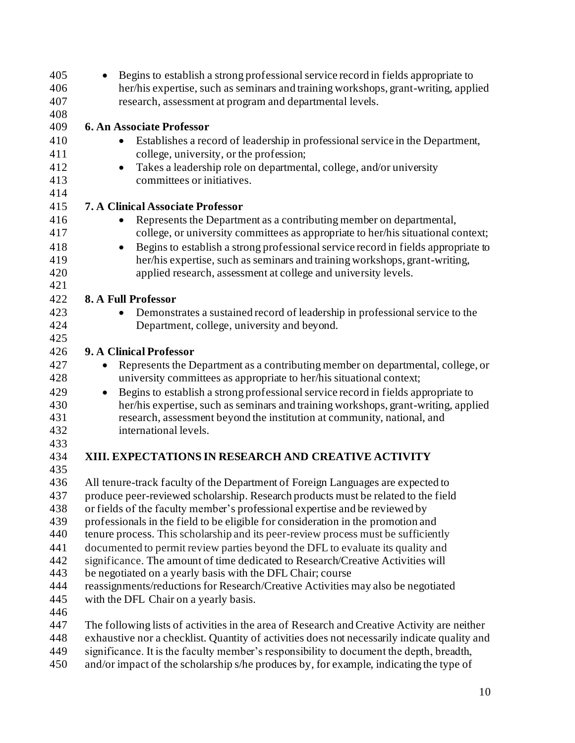| 405        | Begins to establish a strong professional service record in fields appropriate to<br>$\bullet$                                                                       |
|------------|----------------------------------------------------------------------------------------------------------------------------------------------------------------------|
| 406        | her/his expertise, such as seminars and training workshops, grant-writing, applied                                                                                   |
| 407<br>408 | research, assessment at program and departmental levels.                                                                                                             |
| 409        | <b>6. An Associate Professor</b>                                                                                                                                     |
| 410        | Establishes a record of leadership in professional service in the Department,                                                                                        |
| 411        | college, university, or the profession;                                                                                                                              |
| 412        | Takes a leadership role on departmental, college, and/or university<br>$\bullet$                                                                                     |
| 413        | committees or initiatives.                                                                                                                                           |
| 414        |                                                                                                                                                                      |
| 415        | <b>7. A Clinical Associate Professor</b>                                                                                                                             |
| 416        | Represents the Department as a contributing member on departmental,                                                                                                  |
| 417        | college, or university committees as appropriate to her/his situational context;                                                                                     |
| 418        | Begins to establish a strong professional service record in fields appropriate to<br>$\bullet$                                                                       |
| 419        | her/his expertise, such as seminars and training workshops, grant-writing,                                                                                           |
| 420        | applied research, assessment at college and university levels.                                                                                                       |
| 421        |                                                                                                                                                                      |
| 422        | 8. A Full Professor                                                                                                                                                  |
| 423        | Demonstrates a sustained record of leadership in professional service to the<br>$\bullet$                                                                            |
| 424        | Department, college, university and beyond.                                                                                                                          |
| 425        |                                                                                                                                                                      |
| 426        | 9. A Clinical Professor                                                                                                                                              |
| 427        | Represents the Department as a contributing member on departmental, college, or                                                                                      |
| 428        | university committees as appropriate to her/his situational context;                                                                                                 |
| 429        | Begins to establish a strong professional service record in fields appropriate to<br>$\bullet$                                                                       |
| 430        | her/his expertise, such as seminars and training workshops, grant-writing, applied                                                                                   |
| 431        | research, assessment beyond the institution at community, national, and                                                                                              |
| 432        | international levels.                                                                                                                                                |
| 433        |                                                                                                                                                                      |
| 434<br>435 | XIII. EXPECTATIONS IN RESEARCH AND CREATIVE ACTIVITY                                                                                                                 |
| 436        |                                                                                                                                                                      |
| 437        | All tenure-track faculty of the Department of Foreign Languages are expected to<br>produce peer-reviewed scholarship. Research products must be related to the field |
| 438        | or fields of the faculty member's professional expertise and be reviewed by                                                                                          |
| 439        | professionals in the field to be eligible for consideration in the promotion and                                                                                     |
| 440        | tenure process. This scholarship and its peer-review process must be sufficiently                                                                                    |
| 441        | documented to permit review parties beyond the DFL to evaluate its quality and                                                                                       |
| 442        | significance. The amount of time dedicated to Research/Creative Activities will                                                                                      |
| 443        | be negotiated on a yearly basis with the DFL Chair; course                                                                                                           |
| 444        | reassignments/reductions for Research/Creative Activities may also be negotiated                                                                                     |
| 445        | with the DFL Chair on a yearly basis.                                                                                                                                |
| 446        |                                                                                                                                                                      |
| 447        | The following lists of activities in the area of Research and Creative Activity are neither                                                                          |
| 448        | exhaustive nor a checklist. Quantity of activities does not necessarily indicate quality and                                                                         |
| 449        | significance. It is the faculty member's responsibility to document the depth, breadth,                                                                              |
| 450        | and/or impact of the scholarship s/he produces by, for example, indicating the type of                                                                               |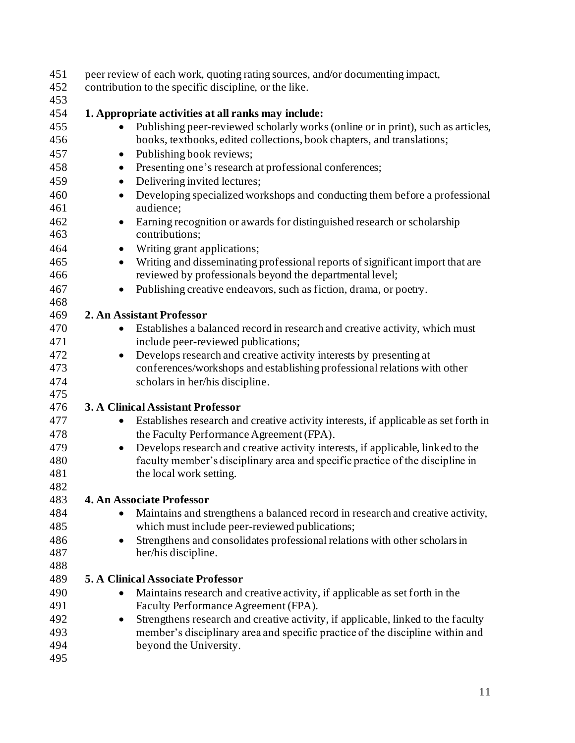| 451<br>452 | peer review of each work, quoting rating sources, and/or documenting impact,<br>contribution to the specific discipline, or the like.        |
|------------|----------------------------------------------------------------------------------------------------------------------------------------------|
| 453        |                                                                                                                                              |
| 454        | 1. Appropriate activities at all ranks may include:                                                                                          |
| 455        | Publishing peer-reviewed scholarly works (online or in print), such as articles,                                                             |
| 456        | books, textbooks, edited collections, book chapters, and translations;                                                                       |
| 457        | Publishing book reviews;<br>$\bullet$                                                                                                        |
| 458        | Presenting one's research at professional conferences;<br>$\bullet$                                                                          |
| 459        | Delivering invited lectures;<br>$\bullet$                                                                                                    |
| 460<br>461 | Developing specialized workshops and conducting them before a professional<br>$\bullet$<br>audience;                                         |
| 462<br>463 | Earning recognition or awards for distinguished research or scholarship<br>$\bullet$<br>contributions;                                       |
| 464        | Writing grant applications;<br>$\bullet$                                                                                                     |
| 465        | Writing and disseminating professional reports of significant import that are<br>$\bullet$                                                   |
| 466        | reviewed by professionals beyond the departmental level;                                                                                     |
| 467        | Publishing creative endeavors, such as fiction, drama, or poetry.<br>٠                                                                       |
| 468        |                                                                                                                                              |
| 469        | 2. An Assistant Professor                                                                                                                    |
| 470        | Establishes a balanced record in research and creative activity, which must<br>$\bullet$                                                     |
| 471        | include peer-reviewed publications;                                                                                                          |
| 472        | Develops research and creative activity interests by presenting at<br>$\bullet$                                                              |
| 473        | conferences/workshops and establishing professional relations with other                                                                     |
| 474        | scholars in her/his discipline.                                                                                                              |
| 475        |                                                                                                                                              |
| 476        | 3. A Clinical Assistant Professor                                                                                                            |
| 477<br>478 | Establishes research and creative activity interests, if applicable as set forth in<br>$\bullet$<br>the Faculty Performance Agreement (FPA). |
| 479        | Develops research and creative activity interests, if applicable, linked to the<br>$\bullet$                                                 |
| 480        | faculty member's disciplinary area and specific practice of the discipline in                                                                |
| 481        | the local work setting.                                                                                                                      |
| 482        |                                                                                                                                              |
| 483        | <b>4. An Associate Professor</b>                                                                                                             |
| 484        | Maintains and strengthens a balanced record in research and creative activity,                                                               |
| 485        | which must include peer-reviewed publications;                                                                                               |
| 486        | Strengthens and consolidates professional relations with other scholars in<br>٠                                                              |
| 487        | her/his discipline.                                                                                                                          |
| 488        |                                                                                                                                              |
| 489        | <b>5. A Clinical Associate Professor</b>                                                                                                     |
| 490        | Maintains research and creative activity, if applicable as set forth in the<br>$\bullet$                                                     |
| 491        | Faculty Performance Agreement (FPA).                                                                                                         |
| 492        | Strengthens research and creative activity, if applicable, linked to the faculty<br>٠                                                        |
| 493        | member's disciplinary area and specific practice of the discipline within and                                                                |
| 494        | beyond the University.                                                                                                                       |
| 495        |                                                                                                                                              |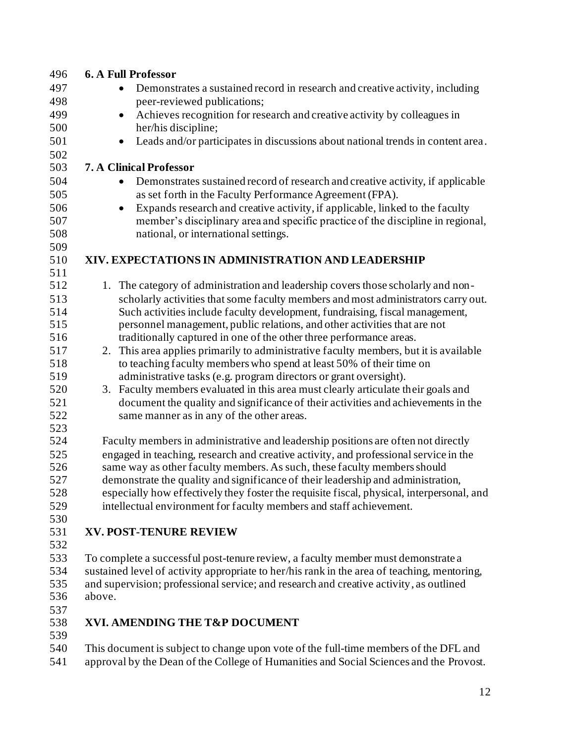| 496        | <b>6. A Full Professor</b>                                                                                                                                   |
|------------|--------------------------------------------------------------------------------------------------------------------------------------------------------------|
| 497        | Demonstrates a sustained record in research and creative activity, including<br>$\bullet$                                                                    |
| 498        | peer-reviewed publications;                                                                                                                                  |
| 499        | Achieves recognition for research and creative activity by colleagues in<br>$\bullet$                                                                        |
| 500        | her/his discipline;                                                                                                                                          |
| 501        | Leads and/or participates in discussions about national trends in content area.<br>٠                                                                         |
| 502        |                                                                                                                                                              |
| 503        | <b>7. A Clinical Professor</b>                                                                                                                               |
| 504        | Demonstrates sustained record of research and creative activity, if applicable<br>$\bullet$                                                                  |
| 505        | as set forth in the Faculty Performance Agreement (FPA).                                                                                                     |
| 506        | Expands research and creative activity, if applicable, linked to the faculty<br>$\bullet$                                                                    |
| 507        | member's disciplinary area and specific practice of the discipline in regional,                                                                              |
| 508        | national, or international settings.                                                                                                                         |
| 509        |                                                                                                                                                              |
| 510        | XIV. EXPECTATIONS IN ADMINISTRATION AND LEADERSHIP                                                                                                           |
| 511        |                                                                                                                                                              |
| 512        | 1. The category of administration and leadership covers those scholarly and non-                                                                             |
| 513        | scholarly activities that some faculty members and most administrators carry out.                                                                            |
| 514        | Such activities include faculty development, fundraising, fiscal management,                                                                                 |
| 515<br>516 | personnel management, public relations, and other activities that are not                                                                                    |
| 517        | traditionally captured in one of the other three performance areas.<br>2. This area applies primarily to administrative faculty members, but it is available |
| 518        | to teaching faculty members who spend at least 50% of their time on                                                                                          |
| 519        | administrative tasks (e.g. program directors or grant oversight).                                                                                            |
| 520        | 3. Faculty members evaluated in this area must clearly articulate their goals and                                                                            |
| 521        | document the quality and significance of their activities and achievements in the                                                                            |
| 522        | same manner as in any of the other areas.                                                                                                                    |
| 523        |                                                                                                                                                              |
| 524        | Faculty members in administrative and leadership positions are often not directly                                                                            |
| 525        | engaged in teaching, research and creative activity, and professional service in the                                                                         |
| 526        | same way as other faculty members. As such, these faculty members should                                                                                     |
| 527        | demonstrate the quality and significance of their leadership and administration,                                                                             |
| 528        | especially how effectively they foster the requisite fiscal, physical, interpersonal, and                                                                    |
| 529        | intellectual environment for faculty members and staff achievement.                                                                                          |
| 530        |                                                                                                                                                              |
| 531        | <b>XV. POST-TENURE REVIEW</b>                                                                                                                                |
| 532        |                                                                                                                                                              |
| 533        | To complete a successful post-tenure review, a faculty member must demonstrate a                                                                             |
| 534        | sustained level of activity appropriate to her/his rank in the area of teaching, mentoring,                                                                  |
| 535        | and supervision; professional service; and research and creative activity, as outlined                                                                       |
| 536        | above.                                                                                                                                                       |
| 537        |                                                                                                                                                              |
| 538        | XVI. AMENDING THE T&P DOCUMENT                                                                                                                               |
| 539<br>540 |                                                                                                                                                              |
|            | This document is subject to change upon vote of the full-time members of the DFL and                                                                         |